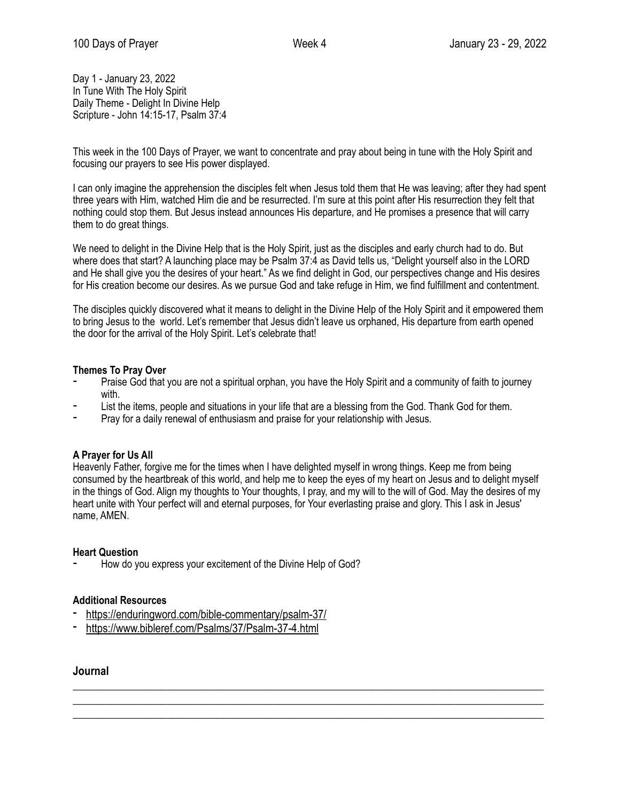Day 1 - January 23, 2022 In Tune With The Holy Spirit Daily Theme - Delight In Divine Help Scripture - John 14:15-17, Psalm 37:4

This week in the 100 Days of Prayer, we want to concentrate and pray about being in tune with the Holy Spirit and focusing our prayers to see His power displayed.

I can only imagine the apprehension the disciples felt when Jesus told them that He was leaving; after they had spent three years with Him, watched Him die and be resurrected. I'm sure at this point after His resurrection they felt that nothing could stop them. But Jesus instead announces His departure, and He promises a presence that will carry them to do great things.

We need to delight in the Divine Help that is the Holy Spirit, just as the disciples and early church had to do. But where does that start? A launching place may be Psalm 37:4 as David tells us, "Delight yourself also in the LORD and He shall give you the desires of your heart." As we find delight in God, our perspectives change and His desires for His creation become our desires. As we pursue God and take refuge in Him, we find fulfillment and contentment.

The disciples quickly discovered what it means to delight in the Divine Help of the Holy Spirit and it empowered them to bring Jesus to the world. Let's remember that Jesus didn't leave us orphaned, His departure from earth opened the door for the arrival of the Holy Spirit. Let's celebrate that!

# **Themes To Pray Over**

- Praise God that you are not a spiritual orphan, you have the Holy Spirit and a community of faith to journey with.
- List the items, people and situations in your life that are a blessing from the God. Thank God for them.
- Pray for a daily renewal of enthusiasm and praise for your relationship with Jesus.

# **A Prayer for Us All**

Heavenly Father, forgive me for the times when I have delighted myself in wrong things. Keep me from being consumed by the heartbreak of this world, and help me to keep the eyes of my heart on Jesus and to delight myself in the things of God. Align my thoughts to Your thoughts, I pray, and my will to the will of God. May the desires of my heart unite with Your perfect will and eternal purposes, for Your everlasting praise and glory. This I ask in Jesus' name, AMEN.

\_\_\_\_\_\_\_\_\_\_\_\_\_\_\_\_\_\_\_\_\_\_\_\_\_\_\_\_\_\_\_\_\_\_\_\_\_\_\_\_\_\_\_\_\_\_\_\_\_\_\_\_\_\_\_\_\_\_\_\_\_\_\_\_\_\_\_\_\_\_\_\_\_\_\_\_\_\_\_\_\_\_\_\_\_  $\_$  , and the set of the set of the set of the set of the set of the set of the set of the set of the set of the set of the set of the set of the set of the set of the set of the set of the set of the set of the set of th \_\_\_\_\_\_\_\_\_\_\_\_\_\_\_\_\_\_\_\_\_\_\_\_\_\_\_\_\_\_\_\_\_\_\_\_\_\_\_\_\_\_\_\_\_\_\_\_\_\_\_\_\_\_\_\_\_\_\_\_\_\_\_\_\_\_\_\_\_\_\_\_\_\_\_\_\_\_\_\_\_\_\_\_\_

#### **Heart Question**

How do you express your excitement of the Divine Help of God?

# **Additional Resources**

- <https://enduringword.com/bible-commentary/psalm-37/>
- <https://www.bibleref.com/Psalms/37/Psalm-37-4.html>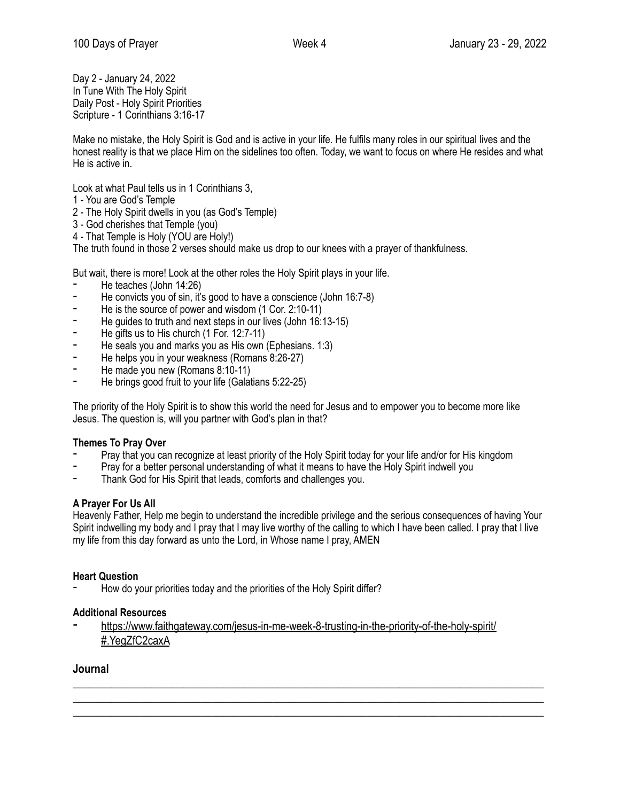Day 2 - January 24, 2022 In Tune With The Holy Spirit Daily Post - Holy Spirit Priorities Scripture - 1 Corinthians 3:16-17

Make no mistake, the Holy Spirit is God and is active in your life. He fulfils many roles in our spiritual lives and the honest reality is that we place Him on the sidelines too often. Today, we want to focus on where He resides and what He is active in.

Look at what Paul tells us in 1 Corinthians 3,

- 1 You are God's Temple
- 2 The Holy Spirit dwells in you (as God's Temple)
- 3 God cherishes that Temple (you)
- 4 That Temple is Holy (YOU are Holy!)

The truth found in those 2 verses should make us drop to our knees with a prayer of thankfulness.

But wait, there is more! Look at the other roles the Holy Spirit plays in your life.

- He teaches (John 14:26)
- ⁃ He convicts you of sin, it's good to have a conscience (John 16:7-8)
- He is the source of power and wisdom (1 Cor. 2:10-11)
- He guides to truth and next steps in our lives (John 16:13-15)
- He gifts us to His church (1 For. 12:7-11)
- He seals you and marks you as His own (Ephesians. 1:3)
- He helps you in your weakness (Romans 8:26-27)
- He made you new (Romans 8:10-11)
- He brings good fruit to your life (Galatians 5:22-25)

The priority of the Holy Spirit is to show this world the need for Jesus and to empower you to become more like Jesus. The question is, will you partner with God's plan in that?

# **Themes To Pray Over**

- Pray that you can recognize at least priority of the Holy Spirit today for your life and/or for His kingdom
- Pray for a better personal understanding of what it means to have the Holy Spirit indwell you
- Thank God for His Spirit that leads, comforts and challenges you.

# **A Prayer For Us All**

Heavenly Father, Help me begin to understand the incredible privilege and the serious consequences of having Your Spirit indwelling my body and I pray that I may live worthy of the calling to which I have been called. I pray that I live my life from this day forward as unto the Lord, in Whose name I pray, AMEN

 $\_$  , and the set of the set of the set of the set of the set of the set of the set of the set of the set of the set of the set of the set of the set of the set of the set of the set of the set of the set of the set of th \_\_\_\_\_\_\_\_\_\_\_\_\_\_\_\_\_\_\_\_\_\_\_\_\_\_\_\_\_\_\_\_\_\_\_\_\_\_\_\_\_\_\_\_\_\_\_\_\_\_\_\_\_\_\_\_\_\_\_\_\_\_\_\_\_\_\_\_\_\_\_\_\_\_\_\_\_\_\_\_\_\_\_\_\_ \_\_\_\_\_\_\_\_\_\_\_\_\_\_\_\_\_\_\_\_\_\_\_\_\_\_\_\_\_\_\_\_\_\_\_\_\_\_\_\_\_\_\_\_\_\_\_\_\_\_\_\_\_\_\_\_\_\_\_\_\_\_\_\_\_\_\_\_\_\_\_\_\_\_\_\_\_\_\_\_\_\_\_\_\_

# **Heart Question**

How do your priorities today and the priorities of the Holy Spirit differ?

# **Additional Resources**

[https://www.faithgateway.com/jesus-in-me-week-8-trusting-in-the-priority-of-the-holy-spirit/](https://www.faithgateway.com/jesus-in-me-week-8-trusting-in-the-priority-of-the-holy-spirit/#.YegZfC2caxA) [#.YegZfC2caxA](https://www.faithgateway.com/jesus-in-me-week-8-trusting-in-the-priority-of-the-holy-spirit/#.YegZfC2caxA)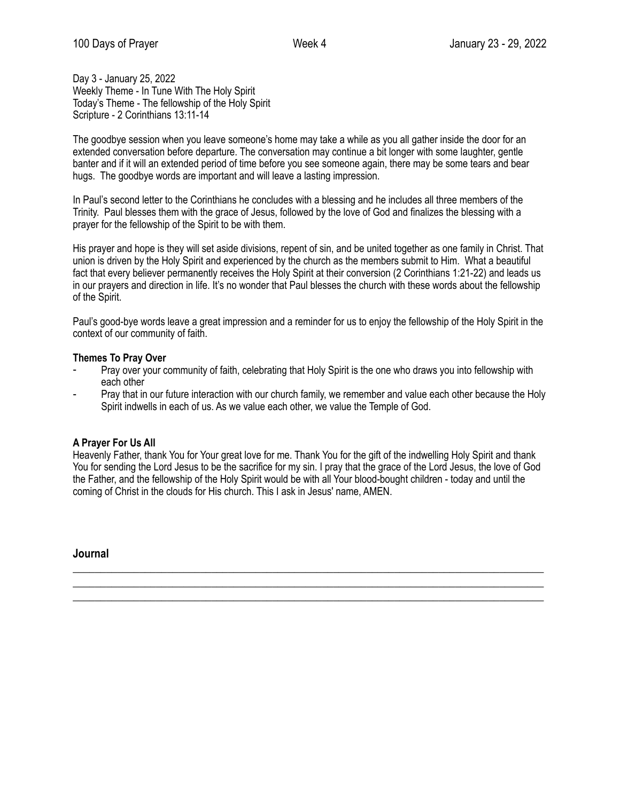Day 3 - January 25, 2022 Weekly Theme - In Tune With The Holy Spirit Today's Theme - The fellowship of the Holy Spirit Scripture - 2 Corinthians 13:11-14

The goodbye session when you leave someone's home may take a while as you all gather inside the door for an extended conversation before departure. The conversation may continue a bit longer with some laughter, gentle banter and if it will an extended period of time before you see someone again, there may be some tears and bear hugs. The goodbye words are important and will leave a lasting impression.

In Paul's second letter to the Corinthians he concludes with a blessing and he includes all three members of the Trinity. Paul blesses them with the grace of Jesus, followed by the love of God and finalizes the blessing with a prayer for the fellowship of the Spirit to be with them.

His prayer and hope is they will set aside divisions, repent of sin, and be united together as one family in Christ. That union is driven by the Holy Spirit and experienced by the church as the members submit to Him. What a beautiful fact that every believer permanently receives the Holy Spirit at their conversion (2 Corinthians 1:21-22) and leads us in our prayers and direction in life. It's no wonder that Paul blesses the church with these words about the fellowship of the Spirit.

Paul's good-bye words leave a great impression and a reminder for us to enjoy the fellowship of the Holy Spirit in the context of our community of faith.

# **Themes To Pray Over**

- Pray over your community of faith, celebrating that Holy Spirit is the one who draws you into fellowship with each other
- Pray that in our future interaction with our church family, we remember and value each other because the Holy Spirit indwells in each of us. As we value each other, we value the Temple of God.

# **A Prayer For Us All**

Heavenly Father, thank You for Your great love for me. Thank You for the gift of the indwelling Holy Spirit and thank You for sending the Lord Jesus to be the sacrifice for my sin. I pray that the grace of the Lord Jesus, the love of God the Father, and the fellowship of the Holy Spirit would be with all Your blood-bought children - today and until the coming of Christ in the clouds for His church. This I ask in Jesus' name, AMEN.

 $\_$  , and the set of the set of the set of the set of the set of the set of the set of the set of the set of the set of the set of the set of the set of the set of the set of the set of the set of the set of the set of th \_\_\_\_\_\_\_\_\_\_\_\_\_\_\_\_\_\_\_\_\_\_\_\_\_\_\_\_\_\_\_\_\_\_\_\_\_\_\_\_\_\_\_\_\_\_\_\_\_\_\_\_\_\_\_\_\_\_\_\_\_\_\_\_\_\_\_\_\_\_\_\_\_\_\_\_\_\_\_\_\_\_\_\_\_ \_\_\_\_\_\_\_\_\_\_\_\_\_\_\_\_\_\_\_\_\_\_\_\_\_\_\_\_\_\_\_\_\_\_\_\_\_\_\_\_\_\_\_\_\_\_\_\_\_\_\_\_\_\_\_\_\_\_\_\_\_\_\_\_\_\_\_\_\_\_\_\_\_\_\_\_\_\_\_\_\_\_\_\_\_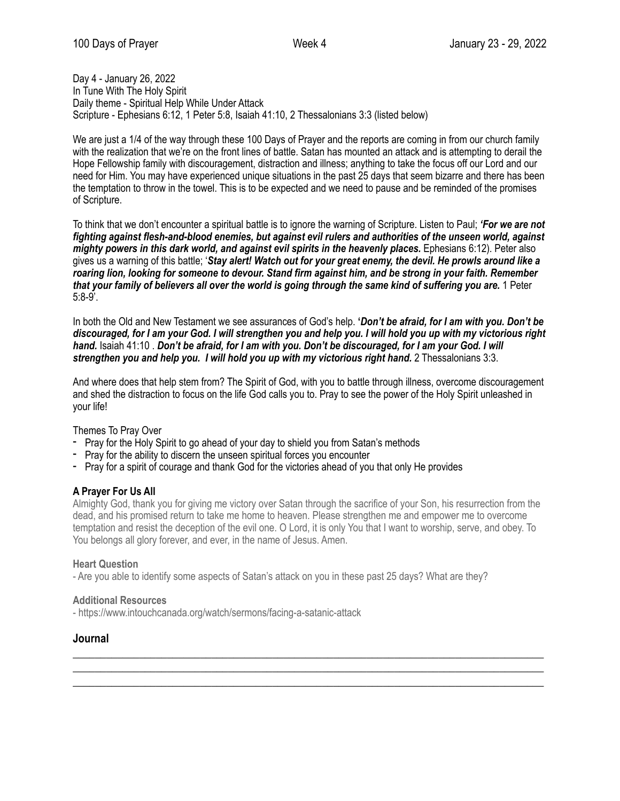Day 4 - January 26, 2022 In Tune With The Holy Spirit Daily theme - Spiritual Help While Under Attack Scripture - Ephesians 6:12, 1 Peter 5:8, Isaiah 41:10, 2 Thessalonians 3:3 (listed below)

We are just a 1/4 of the way through these 100 Days of Prayer and the reports are coming in from our church family with the realization that we're on the front lines of battle. Satan has mounted an attack and is attempting to derail the Hope Fellowship family with discouragement, distraction and illness; anything to take the focus off our Lord and our need for Him. You may have experienced unique situations in the past 25 days that seem bizarre and there has been the temptation to throw in the towel. This is to be expected and we need to pause and be reminded of the promises of Scripture.

To think that we don't encounter a spiritual battle is to ignore the warning of Scripture. Listen to Paul; *'For we are not fighting against flesh-and-blood enemies, but against evil rulers and authorities of the unseen world, against mighty powers in this dark world, and against evil spirits in the heavenly places. Ephesians 6:12). Peter also* gives us a warning of this battle; '*Stay alert! Watch out for your great enemy, the devil. He prowls around like a roaring lion, looking for someone to devour. Stand firm against him, and be strong in your faith. Remember that your family of believers all over the world is going through the same kind of suffering you are.* 1 Peter 5:8-9'.

In both the Old and New Testament we see assurances of God's help. **'***Don't be afraid, for I am with you. Don't be discouraged, for I am your God. I will strengthen you and help you. I will hold you up with my victorious right hand.* Isaiah 41:10 . *Don't be afraid, for I am with you. Don't be discouraged, for I am your God. I will strengthen you and help you. I will hold you up with my victorious right hand.* 2 Thessalonians 3:3.

And where does that help stem from? The Spirit of God, with you to battle through illness, overcome discouragement and shed the distraction to focus on the life God calls you to. Pray to see the power of the Holy Spirit unleashed in your life!

Themes To Pray Over

- Pray for the Holy Spirit to go ahead of your day to shield you from Satan's methods
- Pray for the ability to discern the unseen spiritual forces you encounter
- Pray for a spirit of courage and thank God for the victories ahead of you that only He provides

# **A Prayer For Us All**

Almighty God, thank you for giving me victory over Satan through the sacrifice of your Son, his resurrection from the dead, and his promised return to take me home to heaven. Please strengthen me and empower me to overcome temptation and resist the deception of the evil one. O Lord, it is only You that I want to worship, serve, and obey. To You belongs all glory forever, and ever, in the name of Jesus. Amen.

 $\_$  , and the set of the set of the set of the set of the set of the set of the set of the set of the set of the set of the set of the set of the set of the set of the set of the set of the set of the set of the set of th \_\_\_\_\_\_\_\_\_\_\_\_\_\_\_\_\_\_\_\_\_\_\_\_\_\_\_\_\_\_\_\_\_\_\_\_\_\_\_\_\_\_\_\_\_\_\_\_\_\_\_\_\_\_\_\_\_\_\_\_\_\_\_\_\_\_\_\_\_\_\_\_\_\_\_\_\_\_\_\_\_\_\_\_\_ \_\_\_\_\_\_\_\_\_\_\_\_\_\_\_\_\_\_\_\_\_\_\_\_\_\_\_\_\_\_\_\_\_\_\_\_\_\_\_\_\_\_\_\_\_\_\_\_\_\_\_\_\_\_\_\_\_\_\_\_\_\_\_\_\_\_\_\_\_\_\_\_\_\_\_\_\_\_\_\_\_\_\_\_\_

#### **Heart Question**

- Are you able to identify some aspects of Satan's attack on you in these past 25 days? What are they?

#### **Additional Resources**

- https://www.intouchcanada.org/watch/sermons/facing-a-satanic-attack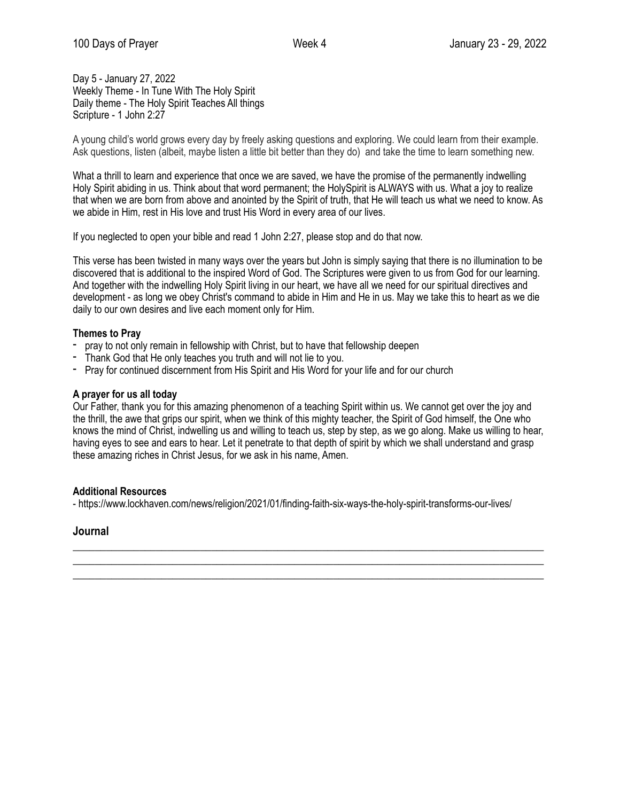Day 5 - January 27, 2022 Weekly Theme - In Tune With The Holy Spirit Daily theme - The Holy Spirit Teaches All things Scripture - 1 John 2:27

A young child's world grows every day by freely asking questions and exploring. We could learn from their example. Ask questions, listen (albeit, maybe listen a little bit better than they do) and take the time to learn something new.

What a thrill to learn and experience that once we are saved, we have the promise of the permanently indwelling Holy Spirit abiding in us. Think about that word permanent; the HolySpirit is ALWAYS with us. What a joy to realize that when we are born from above and anointed by the Spirit of truth, that He will teach us what we need to know. As we abide in Him, rest in His love and trust His Word in every area of our lives.

If you neglected to open your bible and read 1 John 2:27, please stop and do that now.

This verse has been twisted in many ways over the years but John is simply saying that there is no illumination to be discovered that is additional to the inspired Word of God. The Scriptures were given to us from God for our learning. And together with the indwelling Holy Spirit living in our heart, we have all we need for our spiritual directives and development - as long we obey Christ's command to abide in Him and He in us. May we take this to heart as we die daily to our own desires and live each moment only for Him.

### **Themes to Pray**

- pray to not only remain in fellowship with Christ, but to have that fellowship deepen
- Thank God that He only teaches you truth and will not lie to you.
- Pray for continued discernment from His Spirit and His Word for your life and for our church

### **A prayer for us all today**

Our Father, thank you for this amazing phenomenon of a teaching Spirit within us. We cannot get over the joy and the thrill, the awe that grips our spirit, when we think of this mighty teacher, the Spirit of God himself, the One who knows the mind of Christ, indwelling us and willing to teach us, step by step, as we go along. Make us willing to hear, having eyes to see and ears to hear. Let it penetrate to that depth of spirit by which we shall understand and grasp these amazing riches in Christ Jesus, for we ask in his name, Amen.

# **Additional Resources**

- https://www.lockhaven.com/news/religion/2021/01/finding-faith-six-ways-the-holy-spirit-transforms-our-lives/

\_\_\_\_\_\_\_\_\_\_\_\_\_\_\_\_\_\_\_\_\_\_\_\_\_\_\_\_\_\_\_\_\_\_\_\_\_\_\_\_\_\_\_\_\_\_\_\_\_\_\_\_\_\_\_\_\_\_\_\_\_\_\_\_\_\_\_\_\_\_\_\_\_\_\_\_\_\_\_\_\_\_\_\_\_  $\_$  , and the set of the set of the set of the set of the set of the set of the set of the set of the set of the set of the set of the set of the set of the set of the set of the set of the set of the set of the set of th \_\_\_\_\_\_\_\_\_\_\_\_\_\_\_\_\_\_\_\_\_\_\_\_\_\_\_\_\_\_\_\_\_\_\_\_\_\_\_\_\_\_\_\_\_\_\_\_\_\_\_\_\_\_\_\_\_\_\_\_\_\_\_\_\_\_\_\_\_\_\_\_\_\_\_\_\_\_\_\_\_\_\_\_\_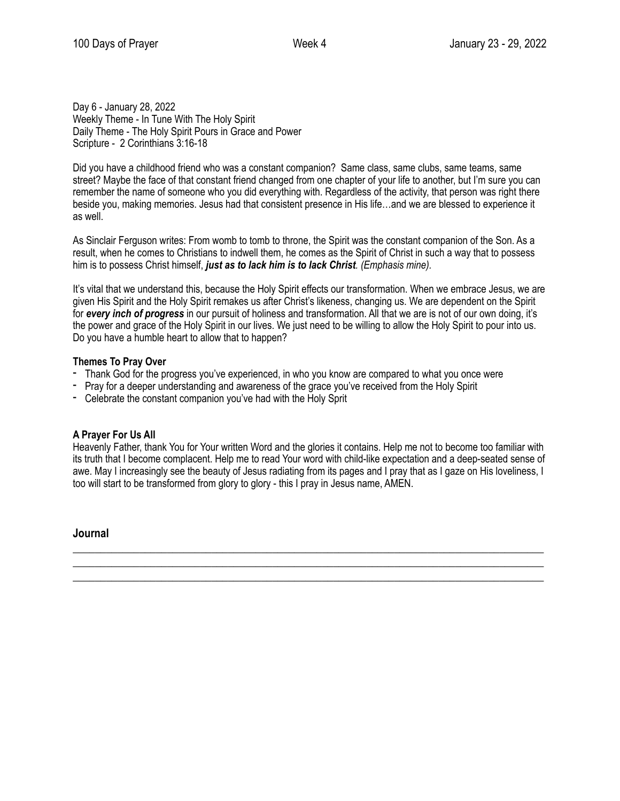Day 6 - January 28, 2022 Weekly Theme - In Tune With The Holy Spirit Daily Theme - The Holy Spirit Pours in Grace and Power Scripture - 2 Corinthians 3:16-18

Did you have a childhood friend who was a constant companion? Same class, same clubs, same teams, same street? Maybe the face of that constant friend changed from one chapter of your life to another, but I'm sure you can remember the name of someone who you did everything with. Regardless of the activity, that person was right there beside you, making memories. Jesus had that consistent presence in His life…and we are blessed to experience it as well.

As Sinclair Ferguson writes: From womb to tomb to throne, the Spirit was the constant companion of the Son. As a result, when he comes to Christians to indwell them, he comes as the Spirit of Christ in such a way that to possess him is to possess Christ himself, *just as to lack him is to lack Christ. (Emphasis mine).*

It's vital that we understand this, because the Holy Spirit effects our transformation. When we embrace Jesus, we are given His Spirit and the Holy Spirit remakes us after Christ's likeness, changing us. We are dependent on the Spirit for *every inch of progress* in our pursuit of holiness and transformation. All that we are is not of our own doing, it's the power and grace of the Holy Spirit in our lives. We just need to be willing to allow the Holy Spirit to pour into us. Do you have a humble heart to allow that to happen?

# **Themes To Pray Over**

- Thank God for the progress you've experienced, in who you know are compared to what you once were
- Pray for a deeper understanding and awareness of the grace you've received from the Holy Spirit
- Celebrate the constant companion you've had with the Holy Sprit

# **A Prayer For Us All**

Heavenly Father, thank You for Your written Word and the glories it contains. Help me not to become too familiar with its truth that I become complacent. Help me to read Your word with child-like expectation and a deep-seated sense of awe. May I increasingly see the beauty of Jesus radiating from its pages and I pray that as I gaze on His loveliness, I too will start to be transformed from glory to glory - this I pray in Jesus name, AMEN.

 $\_$  , and the set of the set of the set of the set of the set of the set of the set of the set of the set of the set of the set of the set of the set of the set of the set of the set of the set of the set of the set of th  $\_$  , and the set of the set of the set of the set of the set of the set of the set of the set of the set of the set of the set of the set of the set of the set of the set of the set of the set of the set of the set of th \_\_\_\_\_\_\_\_\_\_\_\_\_\_\_\_\_\_\_\_\_\_\_\_\_\_\_\_\_\_\_\_\_\_\_\_\_\_\_\_\_\_\_\_\_\_\_\_\_\_\_\_\_\_\_\_\_\_\_\_\_\_\_\_\_\_\_\_\_\_\_\_\_\_\_\_\_\_\_\_\_\_\_\_\_